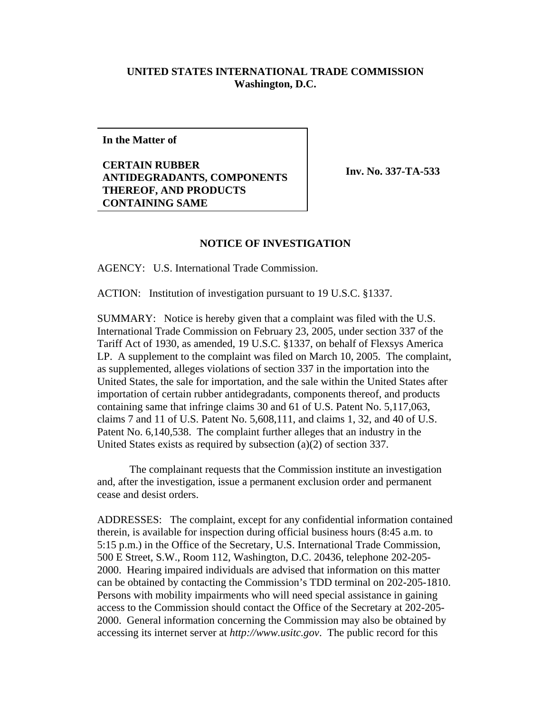## **UNITED STATES INTERNATIONAL TRADE COMMISSION Washington, D.C.**

**In the Matter of**

**CERTAIN RUBBER ANTIDEGRADANTS, COMPONENTS THEREOF, AND PRODUCTS CONTAINING SAME** 

**Inv. No. 337-TA-533** 

## **NOTICE OF INVESTIGATION**

AGENCY: U.S. International Trade Commission.

ACTION: Institution of investigation pursuant to 19 U.S.C. §1337.

SUMMARY: Notice is hereby given that a complaint was filed with the U.S. International Trade Commission on February 23, 2005, under section 337 of the Tariff Act of 1930, as amended, 19 U.S.C. §1337, on behalf of Flexsys America LP. A supplement to the complaint was filed on March 10, 2005. The complaint, as supplemented, alleges violations of section 337 in the importation into the United States, the sale for importation, and the sale within the United States after importation of certain rubber antidegradants, components thereof, and products containing same that infringe claims 30 and 61 of U.S. Patent No. 5,117,063, claims 7 and 11 of U.S. Patent No. 5,608,111, and claims 1, 32, and 40 of U.S. Patent No. 6,140,538. The complaint further alleges that an industry in the United States exists as required by subsection (a)(2) of section 337.

The complainant requests that the Commission institute an investigation and, after the investigation, issue a permanent exclusion order and permanent cease and desist orders.

ADDRESSES: The complaint, except for any confidential information contained therein, is available for inspection during official business hours (8:45 a.m. to 5:15 p.m.) in the Office of the Secretary, U.S. International Trade Commission, 500 E Street, S.W., Room 112, Washington, D.C. 20436, telephone 202-205- 2000. Hearing impaired individuals are advised that information on this matter can be obtained by contacting the Commission's TDD terminal on 202-205-1810. Persons with mobility impairments who will need special assistance in gaining access to the Commission should contact the Office of the Secretary at 202-205- 2000. General information concerning the Commission may also be obtained by accessing its internet server at *http://www.usitc.gov*. The public record for this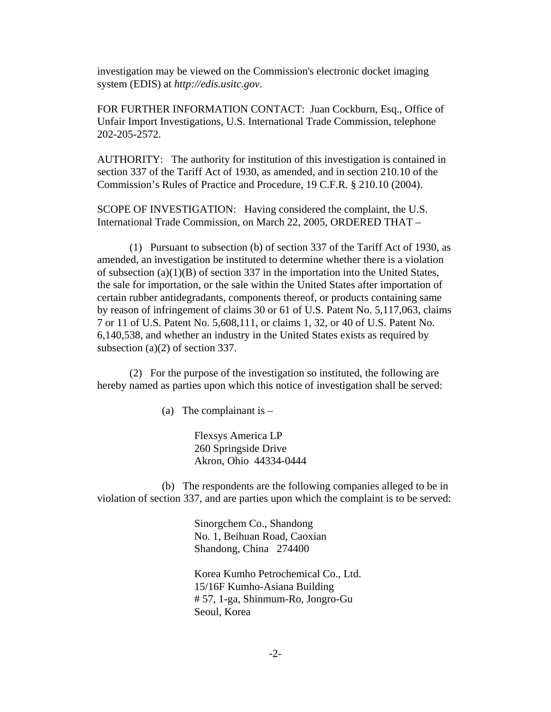investigation may be viewed on the Commission's electronic docket imaging system (EDIS) at *http://edis.usitc.gov*.

FOR FURTHER INFORMATION CONTACT: Juan Cockburn, Esq., Office of Unfair Import Investigations, U.S. International Trade Commission, telephone 202-205-2572.

AUTHORITY: The authority for institution of this investigation is contained in section 337 of the Tariff Act of 1930, as amended, and in section 210.10 of the Commission's Rules of Practice and Procedure, 19 C.F.R. § 210.10 (2004).

SCOPE OF INVESTIGATION: Having considered the complaint, the U.S. International Trade Commission, on March 22, 2005, ORDERED THAT –

(1) Pursuant to subsection (b) of section 337 of the Tariff Act of 1930, as amended, an investigation be instituted to determine whether there is a violation of subsection (a)(1)(B) of section 337 in the importation into the United States, the sale for importation, or the sale within the United States after importation of certain rubber antidegradants, components thereof, or products containing same by reason of infringement of claims 30 or 61 of U.S. Patent No. 5,117,063, claims 7 or 11 of U.S. Patent No. 5,608,111, or claims 1, 32, or 40 of U.S. Patent No. 6,140,538, and whether an industry in the United States exists as required by subsection (a)(2) of section 337.

(2) For the purpose of the investigation so instituted, the following are hereby named as parties upon which this notice of investigation shall be served:

(a) The complainant is  $-$ 

Flexsys America LP 260 Springside Drive Akron, Ohio 44334-0444

(b) The respondents are the following companies alleged to be in violation of section 337, and are parties upon which the complaint is to be served:

> Sinorgchem Co., Shandong No. 1, Beihuan Road, Caoxian Shandong, China 274400

Korea Kumho Petrochemical Co., Ltd. 15/16F Kumho-Asiana Building # 57, 1-ga, Shinmum-Ro, Jongro-Gu Seoul, Korea